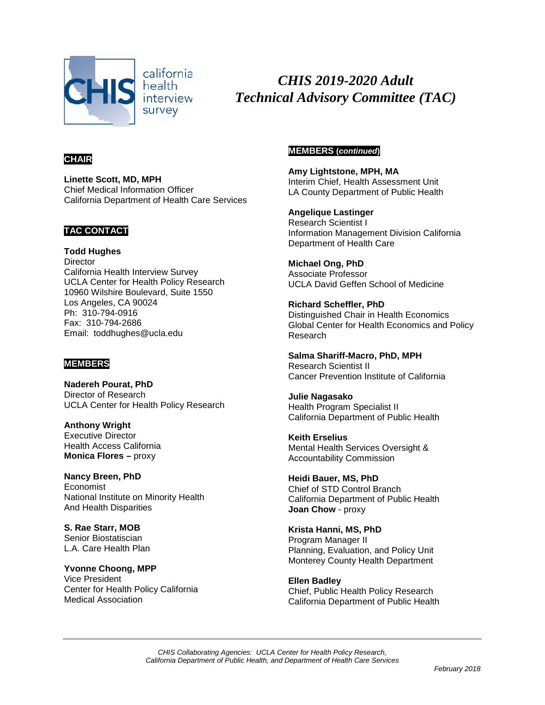

*CHIS 2019-2020 Adult Technical Advisory Committee (TAC)*

# **CHAIR**

**Linette Scott, MD, MPH** Chief Medical Information Officer California Department of Health Care Services

# **TAC CONTACT**

**Todd Hughes Director** California Health Interview Survey UCLA Center for Health Policy Research 10960 Wilshire Boulevard, Suite 1550 Los Angeles, CA 90024 Ph: 310-794-0916 Fax: 310-794-2686 Email: toddhughes@ucla.edu

# **MEMBERS**

**Nadereh Pourat, PhD** Director of Research UCLA Center for Health Policy Research

**Anthony Wright**  Executive Director Health Access California **Monica Flores –** proxy

**Nancy Breen, PhD** Economist National Institute on Minority Health And Health Disparities

**S. Rae Starr, MOB** Senior Biostatiscian L.A. Care Health Plan

**Yvonne Choong, MPP** Vice President Center for Health Policy California Medical Association

# **MEMBERS (***continued***)**

**Amy Lightstone, MPH, MA** Interim Chief, Health Assessment Unit LA County Department of Public Health

**Angelique Lastinger** Research Scientist I Information Management Division California Department of Health Care

**Michael Ong, PhD** Associate Professor UCLA David Geffen School of Medicine

**Richard Scheffler, PhD** Distinguished Chair in Health Economics Global Center for Health Economics and Policy Research

**Salma Shariff-Macro, PhD, MPH** Research Scientist II Cancer Prevention Institute of California

**Julie Nagasako** Health Program Specialist II California Department of Public Health

**Keith Erselius** Mental Health Services Oversight & Accountability Commission

**Heidi Bauer, MS, PhD** Chief of STD Control Branch California Department of Public Health **Joan Chow** - proxy

**Krista Hanni, MS, PhD**  Program Manager II Planning, Evaluation, and Policy Unit Monterey County Health Department

**Ellen Badley** Chief, Public Health Policy Research California Department of Public Health